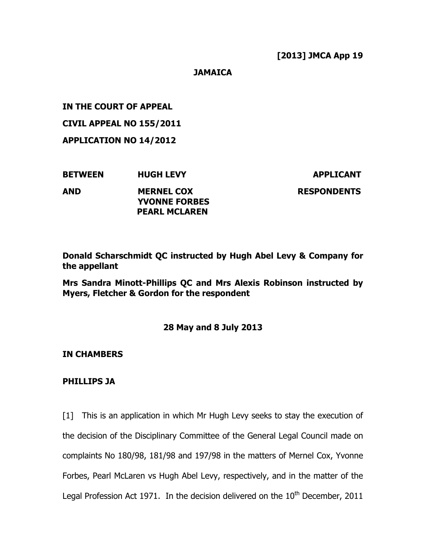**JAMAICA** 

IN THE COURT OF APPEAL

CIVIL APPEAL NO 155/2011

APPLICATION NO 14/2012

| <b>BETWEEN</b> | <b>HUGH LEVY</b>                                                  | <b>APPLICANT</b>   |
|----------------|-------------------------------------------------------------------|--------------------|
| <b>AND</b>     | <b>MERNEL COX</b><br><b>YVONNE FORBES</b><br><b>PEARL MCLAREN</b> | <b>RESPONDENTS</b> |

Donald Scharschmidt QC instructed by Hugh Abel Levy & Company for the appellant

Mrs Sandra Minott-Phillips QC and Mrs Alexis Robinson instructed by Myers, Fletcher & Gordon for the respondent

# 28 May and 8 July 2013

IN CHAMBERS

## PHILLIPS JA

[1] This is an application in which Mr Hugh Levy seeks to stay the execution of the decision of the Disciplinary Committee of the General Legal Council made on complaints No 180/98, 181/98 and 197/98 in the matters of Mernel Cox, Yvonne Forbes, Pearl McLaren vs Hugh Abel Levy, respectively, and in the matter of the Legal Profession Act 1971. In the decision delivered on the  $10<sup>th</sup>$  December, 2011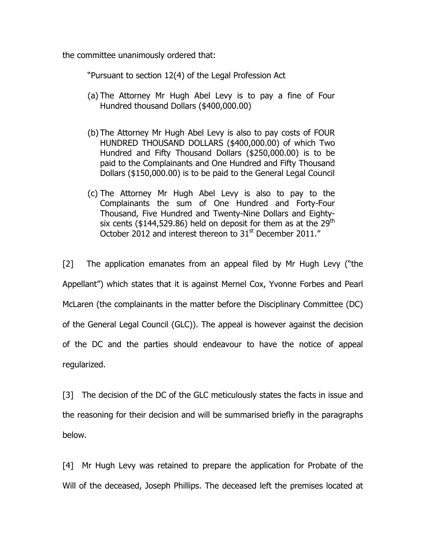the committee unanimously ordered that:

"Pursuant to section 12(4) of the Legal Profession Act

- (a) The Attorney Mr Hugh Abel Levy is to pay a fine of Four Hundred thousand Dollars (\$400,000.00)
- (b) The Attorney Mr Hugh Abel Levy is also to pay costs of FOUR HUNDRED THOUSAND DOLLARS (\$400,000.00) of which Two Hundred and Fifty Thousand Dollars (\$250,000.00) is to be paid to the Complainants and One Hundred and Fifty Thousand Dollars (\$150,000.00) is to be paid to the General Legal Council
- (c) The Attorney Mr Hugh Abel Levy is also to pay to the Complainants the sum of One Hundred and Forty-Four Thousand, Five Hundred and Twenty-Nine Dollars and Eightysix cents (\$144,529.86) held on deposit for them as at the  $29<sup>th</sup>$ October 2012 and interest thereon to 31<sup>st</sup> December 2011."

[2] The application emanates from an appeal filed by Mr Hugh Levy ("the Appellant") which states that it is against Mernel Cox, Yvonne Forbes and Pearl McLaren (the complainants in the matter before the Disciplinary Committee (DC) of the General Legal Council (GLC)). The appeal is however against the decision of the DC and the parties should endeavour to have the notice of appeal regularized.

[3] The decision of the DC of the GLC meticulously states the facts in issue and the reasoning for their decision and will be summarised briefly in the paragraphs below.

[4] Mr Hugh Levy was retained to prepare the application for Probate of the Will of the deceased, Joseph Phillips. The deceased left the premises located at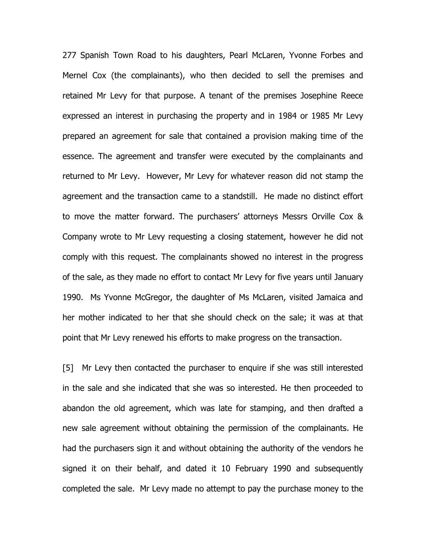277 Spanish Town Road to his daughters, Pearl McLaren, Yvonne Forbes and Mernel Cox (the complainants), who then decided to sell the premises and retained Mr Levy for that purpose. A tenant of the premises Josephine Reece expressed an interest in purchasing the property and in 1984 or 1985 Mr Levy prepared an agreement for sale that contained a provision making time of the essence. The agreement and transfer were executed by the complainants and returned to Mr Levy. However, Mr Levy for whatever reason did not stamp the agreement and the transaction came to a standstill. He made no distinct effort to move the matter forward. The purchasers' attorneys Messrs Orville Cox & Company wrote to Mr Levy requesting a closing statement, however he did not comply with this request. The complainants showed no interest in the progress of the sale, as they made no effort to contact Mr Levy for five years until January 1990. Ms Yvonne McGregor, the daughter of Ms McLaren, visited Jamaica and her mother indicated to her that she should check on the sale; it was at that point that Mr Levy renewed his efforts to make progress on the transaction.

[5] Mr Levy then contacted the purchaser to enquire if she was still interested in the sale and she indicated that she was so interested. He then proceeded to abandon the old agreement, which was late for stamping, and then drafted a new sale agreement without obtaining the permission of the complainants. He had the purchasers sign it and without obtaining the authority of the vendors he signed it on their behalf, and dated it 10 February 1990 and subsequently completed the sale. Mr Levy made no attempt to pay the purchase money to the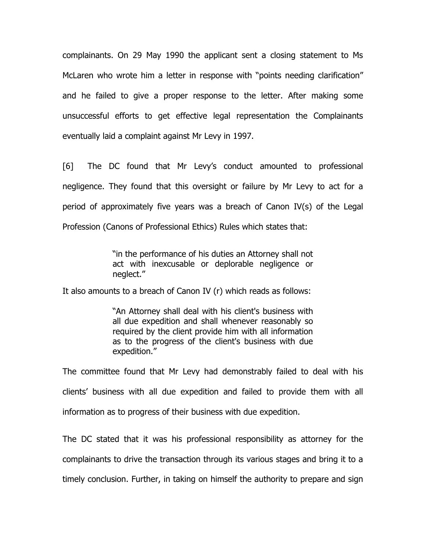complainants. On 29 May 1990 the applicant sent a closing statement to Ms McLaren who wrote him a letter in response with "points needing clarification" and he failed to give a proper response to the letter. After making some unsuccessful efforts to get effective legal representation the Complainants eventually laid a complaint against Mr Levy in 1997.

[6] The DC found that Mr Levy's conduct amounted to professional negligence. They found that this oversight or failure by Mr Levy to act for a period of approximately five years was a breach of Canon IV(s) of the Legal Profession (Canons of Professional Ethics) Rules which states that:

> "in the performance of his duties an Attorney shall not act with inexcusable or deplorable negligence or neglect."

It also amounts to a breach of Canon IV (r) which reads as follows:

"An Attorney shall deal with his client's business with all due expedition and shall whenever reasonably so required by the client provide him with all information as to the progress of the client's business with due expedition."

The committee found that Mr Levy had demonstrably failed to deal with his clients' business with all due expedition and failed to provide them with all information as to progress of their business with due expedition.

The DC stated that it was his professional responsibility as attorney for the complainants to drive the transaction through its various stages and bring it to a timely conclusion. Further, in taking on himself the authority to prepare and sign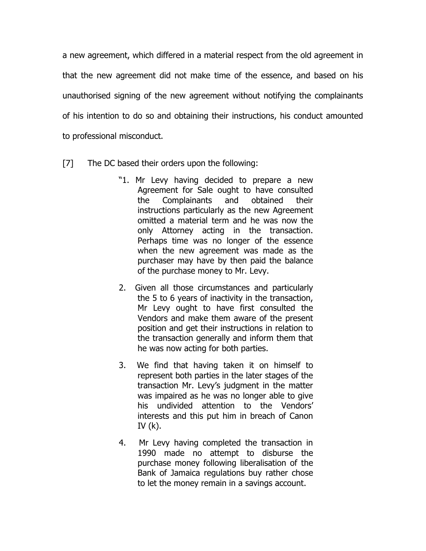a new agreement, which differed in a material respect from the old agreement in that the new agreement did not make time of the essence, and based on his unauthorised signing of the new agreement without notifying the complainants of his intention to do so and obtaining their instructions, his conduct amounted to professional misconduct.

- [7] The DC based their orders upon the following:
	- "1. Mr Levy having decided to prepare a new Agreement for Sale ought to have consulted the Complainants and obtained their instructions particularly as the new Agreement omitted a material term and he was now the only Attorney acting in the transaction. Perhaps time was no longer of the essence when the new agreement was made as the purchaser may have by then paid the balance of the purchase money to Mr. Levy.
	- 2. Given all those circumstances and particularly the 5 to 6 years of inactivity in the transaction, Mr Levy ought to have first consulted the Vendors and make them aware of the present position and get their instructions in relation to the transaction generally and inform them that he was now acting for both parties.
	- 3. We find that having taken it on himself to represent both parties in the later stages of the transaction Mr. Levy's judgment in the matter was impaired as he was no longer able to give his undivided attention to the Vendors' interests and this put him in breach of Canon IV $(k)$ .
	- 4. Mr Levy having completed the transaction in 1990 made no attempt to disburse the purchase money following liberalisation of the Bank of Jamaica regulations buy rather chose to let the money remain in a savings account.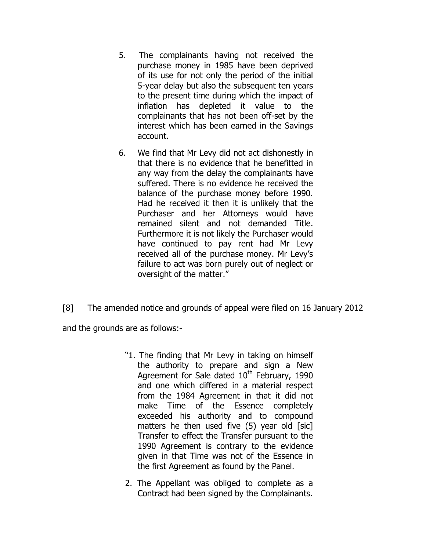- 5. The complainants having not received the purchase money in 1985 have been deprived of its use for not only the period of the initial 5-year delay but also the subsequent ten years to the present time during which the impact of inflation has depleted it value to the complainants that has not been off-set by the interest which has been earned in the Savings account.
- 6. We find that Mr Levy did not act dishonestly in that there is no evidence that he benefitted in any way from the delay the complainants have suffered. There is no evidence he received the balance of the purchase money before 1990. Had he received it then it is unlikely that the Purchaser and her Attorneys would have remained silent and not demanded Title. Furthermore it is not likely the Purchaser would have continued to pay rent had Mr Levy received all of the purchase money. Mr Levy's failure to act was born purely out of neglect or oversight of the matter."
- [8] The amended notice and grounds of appeal were filed on 16 January 2012

and the grounds are as follows:-

- "1. The finding that Mr Levy in taking on himself the authority to prepare and sign a New Agreement for Sale dated  $10<sup>th</sup>$  February, 1990 and one which differed in a material respect from the 1984 Agreement in that it did not make Time of the Essence completely exceeded his authority and to compound matters he then used five (5) year old [sic] Transfer to effect the Transfer pursuant to the 1990 Agreement is contrary to the evidence given in that Time was not of the Essence in the first Agreement as found by the Panel.
- 2. The Appellant was obliged to complete as a Contract had been signed by the Complainants.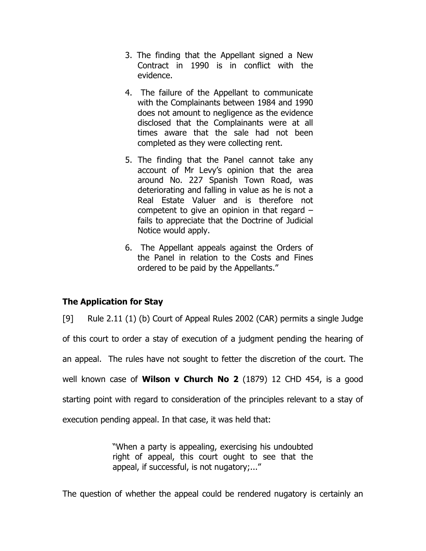- 3. The finding that the Appellant signed a New Contract in 1990 is in conflict with the evidence.
- 4. The failure of the Appellant to communicate with the Complainants between 1984 and 1990 does not amount to negligence as the evidence disclosed that the Complainants were at all times aware that the sale had not been completed as they were collecting rent.
- 5. The finding that the Panel cannot take any account of Mr Levy's opinion that the area around No. 227 Spanish Town Road, was deteriorating and falling in value as he is not a Real Estate Valuer and is therefore not competent to give an opinion in that regard – fails to appreciate that the Doctrine of Judicial Notice would apply.
- 6. The Appellant appeals against the Orders of the Panel in relation to the Costs and Fines ordered to be paid by the Appellants."

# The Application for Stay

[9] Rule 2.11 (1) (b) Court of Appeal Rules 2002 (CAR) permits a single Judge of this court to order a stay of execution of a judgment pending the hearing of an appeal. The rules have not sought to fetter the discretion of the court. The well known case of **Wilson v Church No 2** (1879) 12 CHD 454, is a good starting point with regard to consideration of the principles relevant to a stay of execution pending appeal. In that case, it was held that:

> "When a party is appealing, exercising his undoubted right of appeal, this court ought to see that the appeal, if successful, is not nugatory;..."

The question of whether the appeal could be rendered nugatory is certainly an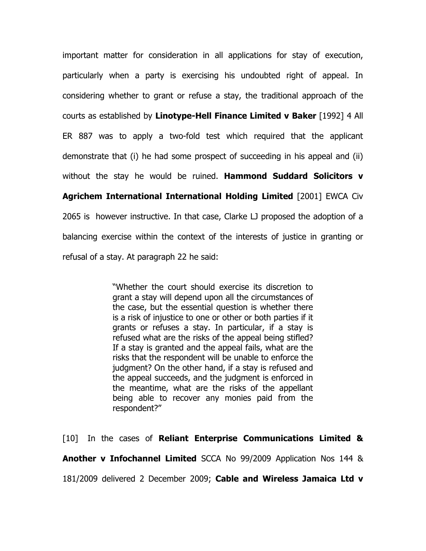important matter for consideration in all applications for stay of execution, particularly when a party is exercising his undoubted right of appeal. In considering whether to grant or refuse a stay, the traditional approach of the courts as established by Linotype-Hell Finance Limited v Baker [1992] 4 All ER 887 was to apply a two-fold test which required that the applicant demonstrate that (i) he had some prospect of succeeding in his appeal and (ii) without the stay he would be ruined. Hammond Suddard Solicitors v Agrichem International International Holding Limited [2001] EWCA Civ 2065 is however instructive. In that case, Clarke LJ proposed the adoption of a balancing exercise within the context of the interests of justice in granting or

refusal of a stay. At paragraph 22 he said:

"Whether the court should exercise its discretion to grant a stay will depend upon all the circumstances of the case, but the essential question is whether there is a risk of injustice to one or other or both parties if it grants or refuses a stay. In particular, if a stay is refused what are the risks of the appeal being stifled? If a stay is granted and the appeal fails, what are the risks that the respondent will be unable to enforce the judgment? On the other hand, if a stay is refused and the appeal succeeds, and the judgment is enforced in the meantime, what are the risks of the appellant being able to recover any monies paid from the respondent?"

[10] In the cases of Reliant Enterprise Communications Limited & Another v Infochannel Limited SCCA No 99/2009 Application Nos 144 & 181/2009 delivered 2 December 2009; Cable and Wireless Jamaica Ltd v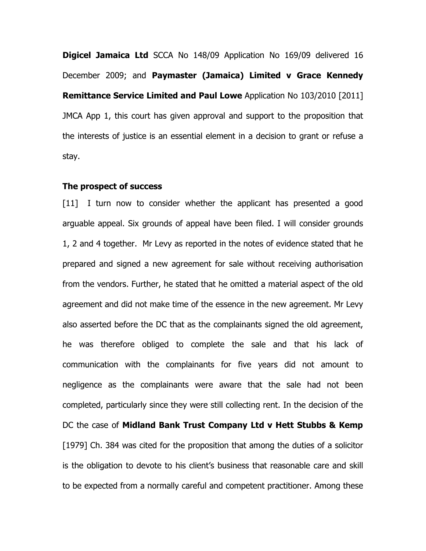**Digicel Jamaica Ltd** SCCA No 148/09 Application No 169/09 delivered 16 December 2009; and Paymaster (Jamaica) Limited v Grace Kennedy Remittance Service Limited and Paul Lowe Application No 103/2010 [2011] JMCA App 1, this court has given approval and support to the proposition that the interests of justice is an essential element in a decision to grant or refuse a stay.

#### The prospect of success

[11] I turn now to consider whether the applicant has presented a good arguable appeal. Six grounds of appeal have been filed. I will consider grounds 1, 2 and 4 together. Mr Levy as reported in the notes of evidence stated that he prepared and signed a new agreement for sale without receiving authorisation from the vendors. Further, he stated that he omitted a material aspect of the old agreement and did not make time of the essence in the new agreement. Mr Levy also asserted before the DC that as the complainants signed the old agreement, he was therefore obliged to complete the sale and that his lack of communication with the complainants for five years did not amount to negligence as the complainants were aware that the sale had not been completed, particularly since they were still collecting rent. In the decision of the DC the case of Midland Bank Trust Company Ltd v Hett Stubbs & Kemp [1979] Ch. 384 was cited for the proposition that among the duties of a solicitor is the obligation to devote to his client's business that reasonable care and skill to be expected from a normally careful and competent practitioner. Among these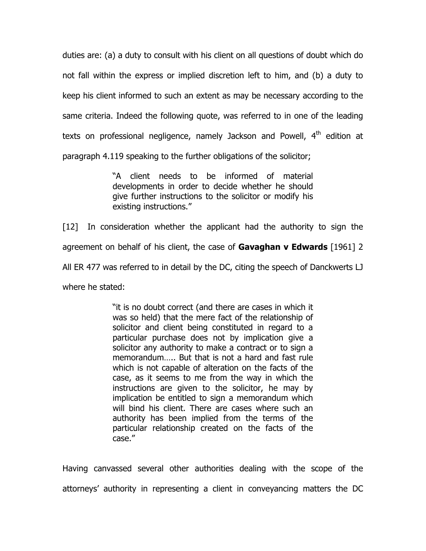duties are: (a) a duty to consult with his client on all questions of doubt which do not fall within the express or implied discretion left to him, and (b) a duty to keep his client informed to such an extent as may be necessary according to the same criteria. Indeed the following quote, was referred to in one of the leading texts on professional negligence, namely Jackson and Powell, 4<sup>th</sup> edition at paragraph 4.119 speaking to the further obligations of the solicitor;

> "A client needs to be informed of material developments in order to decide whether he should give further instructions to the solicitor or modify his existing instructions."

[12] In consideration whether the applicant had the authority to sign the agreement on behalf of his client, the case of **Gavaghan v Edwards** [1961] 2 All ER 477 was referred to in detail by the DC, citing the speech of Danckwerts LJ where he stated:

> "it is no doubt correct (and there are cases in which it was so held) that the mere fact of the relationship of solicitor and client being constituted in regard to a particular purchase does not by implication give a solicitor any authority to make a contract or to sign a memorandum….. But that is not a hard and fast rule which is not capable of alteration on the facts of the case, as it seems to me from the way in which the instructions are given to the solicitor, he may by implication be entitled to sign a memorandum which will bind his client. There are cases where such an authority has been implied from the terms of the particular relationship created on the facts of the case."

Having canvassed several other authorities dealing with the scope of the attorneys' authority in representing a client in conveyancing matters the DC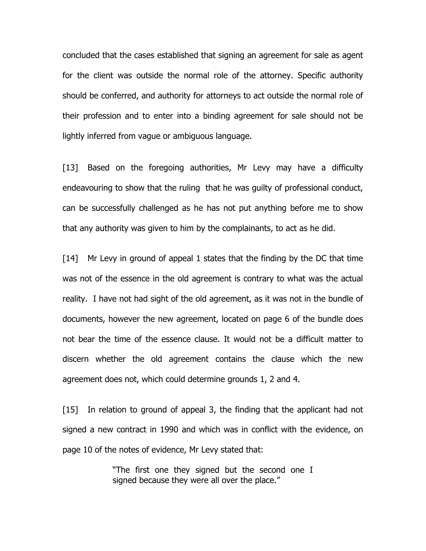concluded that the cases established that signing an agreement for sale as agent for the client was outside the normal role of the attorney. Specific authority should be conferred, and authority for attorneys to act outside the normal role of their profession and to enter into a binding agreement for sale should not be lightly inferred from vague or ambiguous language.

[13] Based on the foregoing authorities, Mr Levy may have a difficulty endeavouring to show that the ruling that he was guilty of professional conduct, can be successfully challenged as he has not put anything before me to show that any authority was given to him by the complainants, to act as he did.

[14] Mr Levy in ground of appeal 1 states that the finding by the DC that time was not of the essence in the old agreement is contrary to what was the actual reality. I have not had sight of the old agreement, as it was not in the bundle of documents, however the new agreement, located on page 6 of the bundle does not bear the time of the essence clause. It would not be a difficult matter to discern whether the old agreement contains the clause which the new agreement does not, which could determine grounds 1, 2 and 4.

[15] In relation to ground of appeal 3, the finding that the applicant had not signed a new contract in 1990 and which was in conflict with the evidence, on page 10 of the notes of evidence, Mr Levy stated that:

> "The first one they signed but the second one I signed because they were all over the place."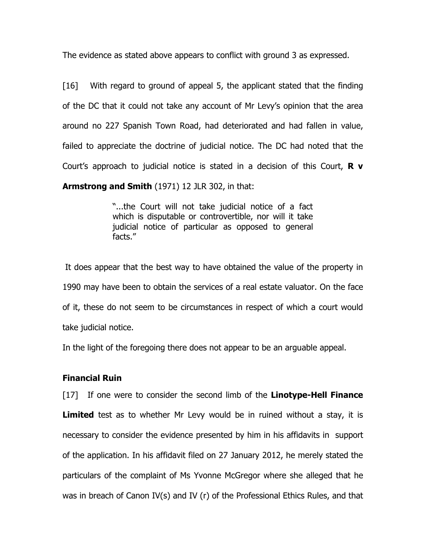The evidence as stated above appears to conflict with ground 3 as expressed.

[16] With regard to ground of appeal 5, the applicant stated that the finding of the DC that it could not take any account of Mr Levy's opinion that the area around no 227 Spanish Town Road, had deteriorated and had fallen in value, failed to appreciate the doctrine of judicial notice. The DC had noted that the Court's approach to judicial notice is stated in a decision of this Court,  $\mathbf R \mathbf v$ 

Armstrong and Smith (1971) 12 JLR 302, in that:

"...the Court will not take judicial notice of a fact which is disputable or controvertible, nor will it take judicial notice of particular as opposed to general facts."

 It does appear that the best way to have obtained the value of the property in 1990 may have been to obtain the services of a real estate valuator. On the face of it, these do not seem to be circumstances in respect of which a court would take judicial notice.

In the light of the foregoing there does not appear to be an arguable appeal.

## Financial Ruin

[17] If one were to consider the second limb of the **Linotype-Hell Finance Limited** test as to whether Mr Levy would be in ruined without a stay, it is necessary to consider the evidence presented by him in his affidavits in support of the application. In his affidavit filed on 27 January 2012, he merely stated the particulars of the complaint of Ms Yvonne McGregor where she alleged that he was in breach of Canon IV(s) and IV (r) of the Professional Ethics Rules, and that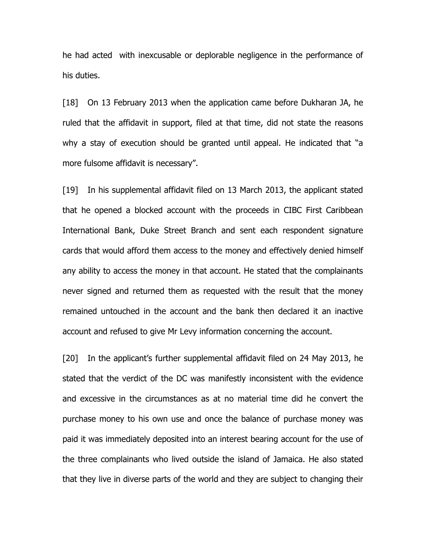he had acted with inexcusable or deplorable negligence in the performance of his duties.

[18] On 13 February 2013 when the application came before Dukharan JA, he ruled that the affidavit in support, filed at that time, did not state the reasons why a stay of execution should be granted until appeal. He indicated that "a more fulsome affidavit is necessary".

[19] In his supplemental affidavit filed on 13 March 2013, the applicant stated that he opened a blocked account with the proceeds in CIBC First Caribbean International Bank, Duke Street Branch and sent each respondent signature cards that would afford them access to the money and effectively denied himself any ability to access the money in that account. He stated that the complainants never signed and returned them as requested with the result that the money remained untouched in the account and the bank then declared it an inactive account and refused to give Mr Levy information concerning the account.

[20] In the applicant's further supplemental affidavit filed on 24 May 2013, he stated that the verdict of the DC was manifestly inconsistent with the evidence and excessive in the circumstances as at no material time did he convert the purchase money to his own use and once the balance of purchase money was paid it was immediately deposited into an interest bearing account for the use of the three complainants who lived outside the island of Jamaica. He also stated that they live in diverse parts of the world and they are subject to changing their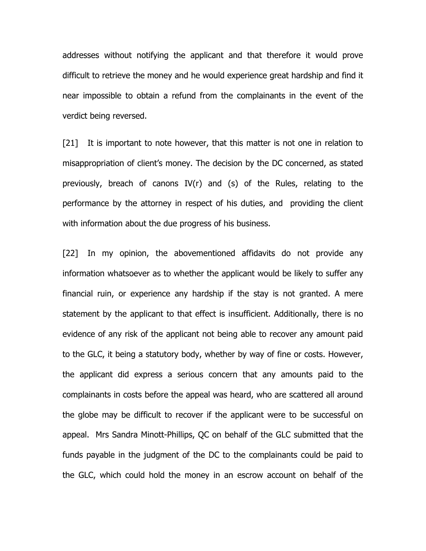addresses without notifying the applicant and that therefore it would prove difficult to retrieve the money and he would experience great hardship and find it near impossible to obtain a refund from the complainants in the event of the verdict being reversed.

[21] It is important to note however, that this matter is not one in relation to misappropriation of client's money. The decision by the DC concerned, as stated previously, breach of canons IV(r) and (s) of the Rules, relating to the performance by the attorney in respect of his duties, and providing the client with information about the due progress of his business.

[22] In my opinion, the abovementioned affidavits do not provide any information whatsoever as to whether the applicant would be likely to suffer any financial ruin, or experience any hardship if the stay is not granted. A mere statement by the applicant to that effect is insufficient. Additionally, there is no evidence of any risk of the applicant not being able to recover any amount paid to the GLC, it being a statutory body, whether by way of fine or costs. However, the applicant did express a serious concern that any amounts paid to the complainants in costs before the appeal was heard, who are scattered all around the globe may be difficult to recover if the applicant were to be successful on appeal. Mrs Sandra Minott-Phillips, QC on behalf of the GLC submitted that the funds payable in the judgment of the DC to the complainants could be paid to the GLC, which could hold the money in an escrow account on behalf of the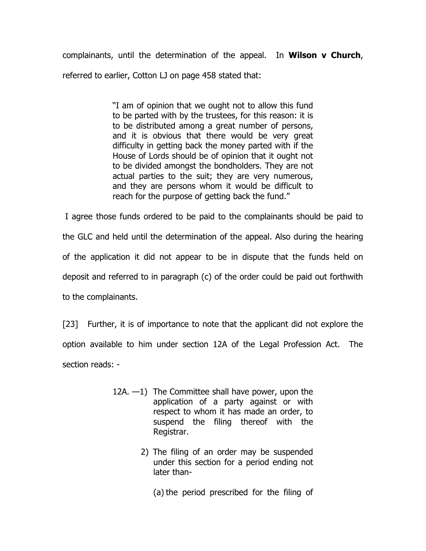complainants, until the determination of the appeal. In Wilson v Church, referred to earlier, Cotton LJ on page 458 stated that:

> "I am of opinion that we ought not to allow this fund to be parted with by the trustees, for this reason: it is to be distributed among a great number of persons, and it is obvious that there would be very great difficulty in getting back the money parted with if the House of Lords should be of opinion that it ought not to be divided amongst the bondholders. They are not actual parties to the suit; they are very numerous, and they are persons whom it would be difficult to reach for the purpose of getting back the fund."

 I agree those funds ordered to be paid to the complainants should be paid to the GLC and held until the determination of the appeal. Also during the hearing of the application it did not appear to be in dispute that the funds held on deposit and referred to in paragraph (c) of the order could be paid out forthwith to the complainants.

[23] Further, it is of importance to note that the applicant did not explore the option available to him under section 12A of the Legal Profession Act. The section reads: -

- 12A. —1) The Committee shall have power, upon the application of a party against or with respect to whom it has made an order, to suspend the filing thereof with the Registrar.
	- 2) The filing of an order may be suspended under this section for a period ending not later than-

(a) the period prescribed for the filing of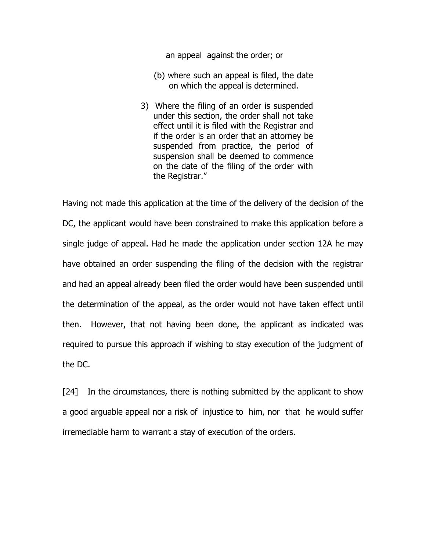an appeal against the order; or

- (b) where such an appeal is filed, the date on which the appeal is determined.
- 3) Where the filing of an order is suspended under this section, the order shall not take effect until it is filed with the Registrar and if the order is an order that an attorney be suspended from practice, the period of suspension shall be deemed to commence on the date of the filing of the order with the Registrar."

Having not made this application at the time of the delivery of the decision of the DC, the applicant would have been constrained to make this application before a single judge of appeal. Had he made the application under section 12A he may have obtained an order suspending the filing of the decision with the registrar and had an appeal already been filed the order would have been suspended until the determination of the appeal, as the order would not have taken effect until then. However, that not having been done, the applicant as indicated was required to pursue this approach if wishing to stay execution of the judgment of the DC.

[24] In the circumstances, there is nothing submitted by the applicant to show a good arguable appeal nor a risk of injustice to him, nor that he would suffer irremediable harm to warrant a stay of execution of the orders.